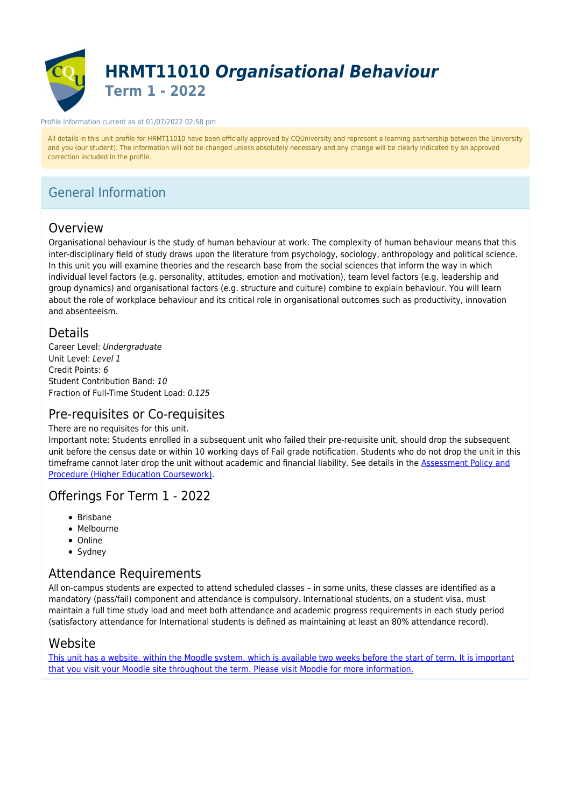

#### Profile information current as at 01/07/2022 02:58 pm

All details in this unit profile for HRMT11010 have been officially approved by CQUniversity and represent a learning partnership between the University and you (our student). The information will not be changed unless absolutely necessary and any change will be clearly indicated by an approved correction included in the profile.

# General Information

# Overview

Organisational behaviour is the study of human behaviour at work. The complexity of human behaviour means that this inter-disciplinary field of study draws upon the literature from psychology, sociology, anthropology and political science. In this unit you will examine theories and the research base from the social sciences that inform the way in which individual level factors (e.g. personality, attitudes, emotion and motivation), team level factors (e.g. leadership and group dynamics) and organisational factors (e.g. structure and culture) combine to explain behaviour. You will learn about the role of workplace behaviour and its critical role in organisational outcomes such as productivity, innovation and absenteeism.

## **Details**

Career Level: Undergraduate Unit Level: Level 1 Credit Points: 6 Student Contribution Band: 10 Fraction of Full-Time Student Load: 0.125

# Pre-requisites or Co-requisites

### There are no requisites for this unit.

Important note: Students enrolled in a subsequent unit who failed their pre-requisite unit, should drop the subsequent unit before the census date or within 10 working days of Fail grade notification. Students who do not drop the unit in this timeframe cannot later drop the unit without academic and financial liability. See details in the **Assessment Policy and** [Procedure \(Higher Education Coursework\)](https://www.cqu.edu.au/policy).

# Offerings For Term 1 - 2022

- Brisbane
- Melbourne
- Online
- Sydney

## Attendance Requirements

All on-campus students are expected to attend scheduled classes – in some units, these classes are identified as a mandatory (pass/fail) component and attendance is compulsory. International students, on a student visa, must maintain a full time study load and meet both attendance and academic progress requirements in each study period (satisfactory attendance for International students is defined as maintaining at least an 80% attendance record).

# Website

[This unit has a website, within the Moodle system, which is available two weeks before the start of term. It is important](https://moodle.cqu.edu.au) [that you visit your Moodle site throughout the term. Please visit Moodle for more information.](https://moodle.cqu.edu.au)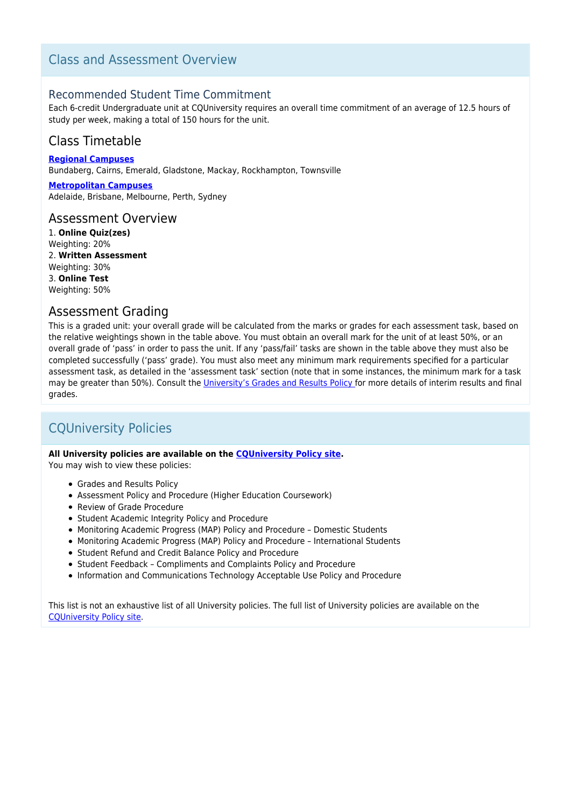# Class and Assessment Overview

## Recommended Student Time Commitment

Each 6-credit Undergraduate unit at CQUniversity requires an overall time commitment of an average of 12.5 hours of study per week, making a total of 150 hours for the unit.

# Class Timetable

**[Regional Campuses](https://handbook.cqu.edu.au/facet/timetables)** Bundaberg, Cairns, Emerald, Gladstone, Mackay, Rockhampton, Townsville

**[Metropolitan Campuses](https://handbook.cqu.edu.au/facet/timetables)** Adelaide, Brisbane, Melbourne, Perth, Sydney

### Assessment Overview

1. **Online Quiz(zes)** Weighting: 20% 2. **Written Assessment** Weighting: 30% 3. **Online Test** Weighting: 50%

## Assessment Grading

This is a graded unit: your overall grade will be calculated from the marks or grades for each assessment task, based on the relative weightings shown in the table above. You must obtain an overall mark for the unit of at least 50%, or an overall grade of 'pass' in order to pass the unit. If any 'pass/fail' tasks are shown in the table above they must also be completed successfully ('pass' grade). You must also meet any minimum mark requirements specified for a particular assessment task, as detailed in the 'assessment task' section (note that in some instances, the minimum mark for a task may be greater than 50%). Consult the *University's Grades and Results Policy* for more details of interim results and final grades.

# CQUniversity Policies

### **All University policies are available on the [CQUniversity Policy site.](https://policy.cqu.edu.au/)**

You may wish to view these policies:

- Grades and Results Policy
- Assessment Policy and Procedure (Higher Education Coursework)
- Review of Grade Procedure
- Student Academic Integrity Policy and Procedure
- Monitoring Academic Progress (MAP) Policy and Procedure Domestic Students
- Monitoring Academic Progress (MAP) Policy and Procedure International Students
- Student Refund and Credit Balance Policy and Procedure
- Student Feedback Compliments and Complaints Policy and Procedure
- Information and Communications Technology Acceptable Use Policy and Procedure

This list is not an exhaustive list of all University policies. The full list of University policies are available on the [CQUniversity Policy site.](https://policy.cqu.edu.au/)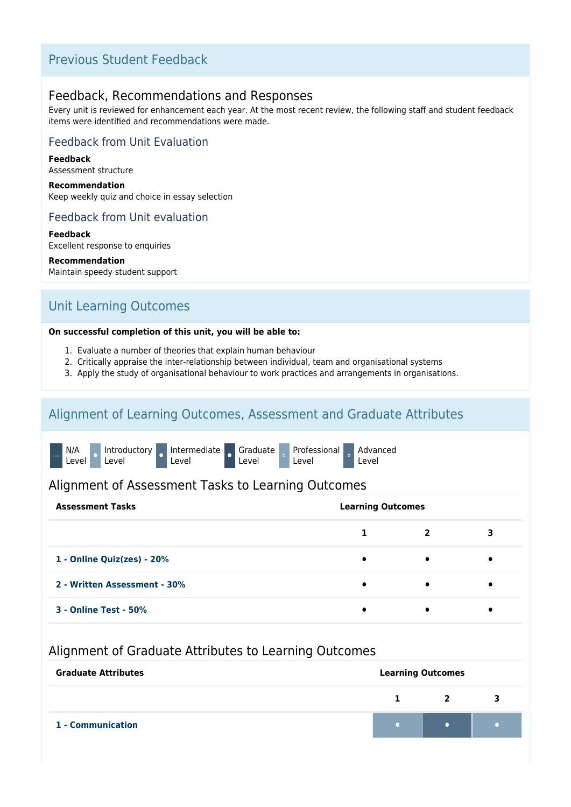# Previous Student Feedback

## Feedback, Recommendations and Responses

Every unit is reviewed for enhancement each year. At the most recent review, the following staff and student feedback items were identified and recommendations were made.

## Feedback from Unit Evaluation

**Feedback** Assessment structure

**Recommendation** Keep weekly quiz and choice in essay selection

## Feedback from Unit evaluation

**Feedback** Excellent response to enquiries

**Recommendation** Maintain speedy student support

# Unit Learning Outcomes

### **On successful completion of this unit, you will be able to:**

- 1. Evaluate a number of theories that explain human behaviour
- 2. Critically appraise the inter-relationship between individual, team and organisational systems
- 3. Apply the study of organisational behaviour to work practices and arrangements in organisations.

# Alignment of Learning Outcomes, Assessment and Graduate Attributes



## Alignment of Assessment Tasks to Learning Outcomes

| <b>Assessment Tasks</b>      | <b>Learning Outcomes</b> |                         |   |
|------------------------------|--------------------------|-------------------------|---|
|                              |                          | $\overline{\mathbf{2}}$ | 3 |
| 1 - Online Quiz(zes) - 20%   | $\bullet$                | $\bullet$               | ٠ |
| 2 - Written Assessment - 30% | ٠                        | $\bullet$               | ٠ |
| <b>3 - Online Test - 50%</b> |                          |                         |   |

## Alignment of Graduate Attributes to Learning Outcomes

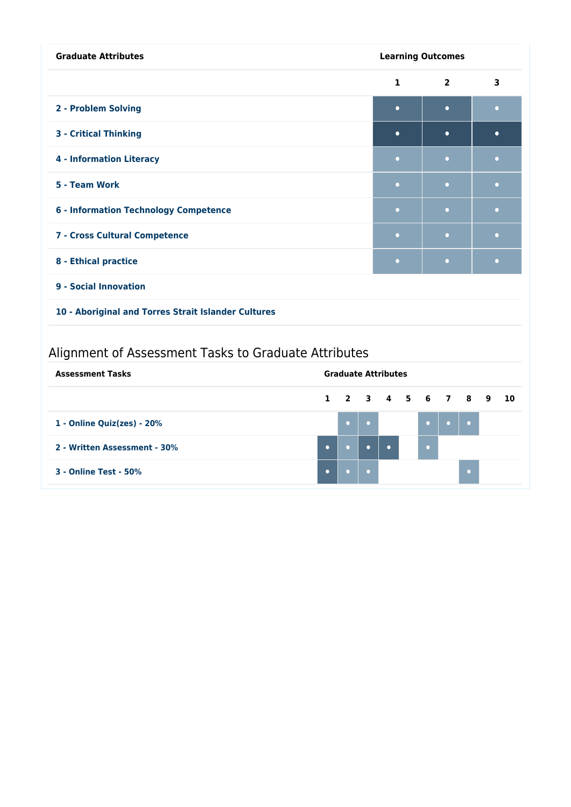| <b>Graduate Attributes</b><br><b>Learning Outcomes</b> |              |                |           |
|--------------------------------------------------------|--------------|----------------|-----------|
|                                                        | $\mathbf{1}$ | $\overline{2}$ | 3         |
| 2 - Problem Solving                                    | $\bullet$    | $\bullet$      | $\bullet$ |
| <b>3 - Critical Thinking</b>                           | $\bullet$    | $\bullet$      | $\bullet$ |
| <b>4 - Information Literacy</b>                        | $\bullet$    | $\bullet$      | $\bullet$ |
| 5 - Team Work                                          | $\bullet$    | $\bullet$      | $\bullet$ |
| <b>6 - Information Technology Competence</b>           | o            | $\bullet$      | $\bullet$ |
| 7 - Cross Cultural Competence                          | $\bullet$    | $\bullet$      | $\bullet$ |
| 8 - Ethical practice                                   | $\bullet$    | $\bullet$      | $\bullet$ |
| 9 - Social Innovation                                  |              |                |           |
| 10 - Aboriginal and Torres Strait Islander Cultures    |              |                |           |

# Alignment of Assessment Tasks to Graduate Attributes

| <b>Assessment Tasks</b>      | <b>Graduate Attributes</b> |  |           |  |  |                   |  |                 |
|------------------------------|----------------------------|--|-----------|--|--|-------------------|--|-----------------|
|                              |                            |  |           |  |  | 1 2 3 4 5 6 7 8 9 |  | $\overline{10}$ |
| 1 - Online Quiz(zes) - 20%   |                            |  |           |  |  |                   |  |                 |
| 2 - Written Assessment - 30% |                            |  | $\bullet$ |  |  |                   |  |                 |
| <b>3 - Online Test - 50%</b> |                            |  |           |  |  |                   |  |                 |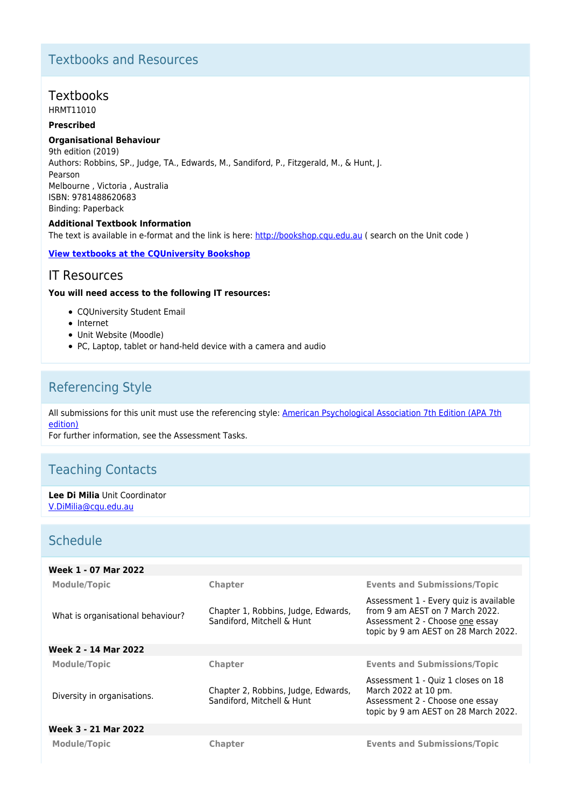# Textbooks and Resources

# **Textbooks**

HRMT11010

### **Prescribed**

### **Organisational Behaviour**

9th edition (2019) Authors: Robbins, SP., Judge, TA., Edwards, M., Sandiford, P., Fitzgerald, M., & Hunt, J. Pearson Melbourne , Victoria , Australia ISBN: 9781488620683 Binding: Paperback

#### **Additional Textbook Information**

The text is available in e-format and the link is here:<http://bookshop.cqu.edu.au>( search on the Unit code )

### **[View textbooks at the CQUniversity Bookshop](https://bookshop.cqu.edu.au/)**

## IT Resources

#### **You will need access to the following IT resources:**

- COUniversity Student Email
- Internet
- Unit Website (Moodle)
- PC, Laptop, tablet or hand-held device with a camera and audio

# Referencing Style

All submissions for this unit must use the referencing style: [American Psychological Association 7th Edition \(APA 7th](https://delivery-cqucontenthub.stylelabs.cloud/api/public/content/apa-referencing-style.pdf?v=51e1aea7) [edition\)](https://delivery-cqucontenthub.stylelabs.cloud/api/public/content/apa-referencing-style.pdf?v=51e1aea7)

For further information, see the Assessment Tasks.

# Teaching Contacts

**Lee Di Milia** Unit Coordinator [V.DiMilia@cqu.edu.au](mailto:V.DiMilia@cqu.edu.au)

# **Schedule**

| Week 1 - 07 Mar 2022              |                                                                   |                                                                                                                                                      |
|-----------------------------------|-------------------------------------------------------------------|------------------------------------------------------------------------------------------------------------------------------------------------------|
| <b>Module/Topic</b>               | Chapter                                                           | <b>Events and Submissions/Topic</b>                                                                                                                  |
| What is organisational behaviour? | Chapter 1, Robbins, Judge, Edwards,<br>Sandiford, Mitchell & Hunt | Assessment 1 - Every quiz is available<br>from 9 am AEST on 7 March 2022.<br>Assessment 2 - Choose one essay<br>topic by 9 am AEST on 28 March 2022. |
| Week 2 - 14 Mar 2022              |                                                                   |                                                                                                                                                      |
| <b>Module/Topic</b>               | Chapter                                                           | <b>Events and Submissions/Topic</b>                                                                                                                  |
| Diversity in organisations.       | Chapter 2, Robbins, Judge, Edwards,<br>Sandiford, Mitchell & Hunt | Assessment 1 - Quiz 1 closes on 18<br>March 2022 at 10 pm.<br>Assessment 2 - Choose one essay<br>topic by 9 am AEST on 28 March 2022.                |
| Week 3 - 21 Mar 2022              |                                                                   |                                                                                                                                                      |
| <b>Module/Topic</b>               | <b>Chapter</b>                                                    | <b>Events and Submissions/Topic</b>                                                                                                                  |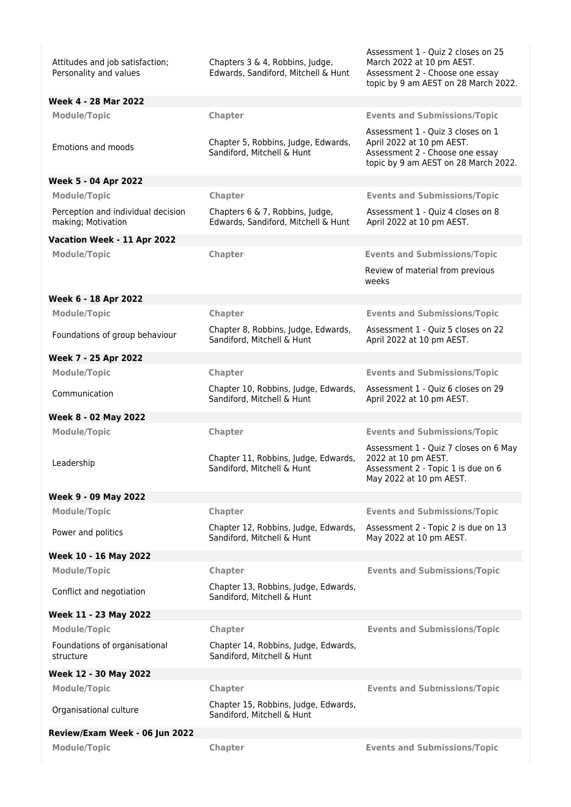| Attitudes and job satisfaction;<br>Personality and values | Chapters 3 & 4, Robbins, Judge,<br>Edwards, Sandiford, Mitchell & Hunt | Assessment 1 - Quiz 2 closes on 25<br>March 2022 at 10 pm AEST.<br>Assessment 2 - Choose one essay<br>topic by 9 am AEST on 28 March 2022. |
|-----------------------------------------------------------|------------------------------------------------------------------------|--------------------------------------------------------------------------------------------------------------------------------------------|
| Week 4 - 28 Mar 2022                                      |                                                                        |                                                                                                                                            |
| <b>Module/Topic</b>                                       | Chapter                                                                | <b>Events and Submissions/Topic</b>                                                                                                        |
| Emotions and moods                                        | Chapter 5, Robbins, Judge, Edwards,<br>Sandiford, Mitchell & Hunt      | Assessment 1 - Quiz 3 closes on 1<br>April 2022 at 10 pm AEST.<br>Assessment 2 - Choose one essay<br>topic by 9 am AEST on 28 March 2022.  |
| <b>Week 5 - 04 Apr 2022</b>                               |                                                                        |                                                                                                                                            |
| <b>Module/Topic</b>                                       | Chapter                                                                | <b>Events and Submissions/Topic</b>                                                                                                        |
| Perception and individual decision<br>making; Motivation  | Chapters 6 & 7, Robbins, Judge,<br>Edwards, Sandiford, Mitchell & Hunt | Assessment 1 - Quiz 4 closes on 8<br>April 2022 at 10 pm AEST.                                                                             |
| Vacation Week - 11 Apr 2022                               |                                                                        |                                                                                                                                            |
| <b>Module/Topic</b>                                       | Chapter                                                                | <b>Events and Submissions/Topic</b>                                                                                                        |
|                                                           |                                                                        | Review of material from previous<br>weeks                                                                                                  |
| Week 6 - 18 Apr 2022                                      |                                                                        |                                                                                                                                            |
| <b>Module/Topic</b>                                       | Chapter                                                                | <b>Events and Submissions/Topic</b>                                                                                                        |
| Foundations of group behaviour                            | Chapter 8, Robbins, Judge, Edwards,<br>Sandiford, Mitchell & Hunt      | Assessment 1 - Quiz 5 closes on 22<br>April 2022 at 10 pm AEST.                                                                            |
| Week 7 - 25 Apr 2022                                      |                                                                        |                                                                                                                                            |
| <b>Module/Topic</b>                                       | Chapter                                                                | <b>Events and Submissions/Topic</b>                                                                                                        |
| Communication                                             | Chapter 10, Robbins, Judge, Edwards,<br>Sandiford, Mitchell & Hunt     | Assessment 1 - Quiz 6 closes on 29<br>April 2022 at 10 pm AEST.                                                                            |
| Week 8 - 02 May 2022                                      |                                                                        |                                                                                                                                            |
| <b>Module/Topic</b>                                       | Chapter                                                                | <b>Events and Submissions/Topic</b>                                                                                                        |
| Leadership                                                | Chapter 11, Robbins, Judge, Edwards,<br>Sandiford, Mitchell & Hunt     | Assessment 1 - Quiz 7 closes on 6 May<br>2022 at 10 pm AEST.<br>Assessment 2 - Topic 1 is due on 6<br>May 2022 at 10 pm AEST.              |
| Week 9 - 09 May 2022                                      |                                                                        |                                                                                                                                            |
| <b>Module/Topic</b>                                       | Chapter                                                                | <b>Events and Submissions/Topic</b>                                                                                                        |
| Power and politics                                        | Chapter 12, Robbins, Judge, Edwards,<br>Sandiford, Mitchell & Hunt     | Assessment 2 - Topic 2 is due on 13<br>May 2022 at 10 pm AEST.                                                                             |
| Week 10 - 16 May 2022                                     |                                                                        |                                                                                                                                            |
| <b>Module/Topic</b>                                       | Chapter                                                                | <b>Events and Submissions/Topic</b>                                                                                                        |
| Conflict and negotiation                                  | Chapter 13, Robbins, Judge, Edwards,<br>Sandiford, Mitchell & Hunt     |                                                                                                                                            |
| Week 11 - 23 May 2022                                     |                                                                        |                                                                                                                                            |
| <b>Module/Topic</b>                                       | Chapter                                                                | <b>Events and Submissions/Topic</b>                                                                                                        |
| Foundations of organisational<br>structure                | Chapter 14, Robbins, Judge, Edwards,<br>Sandiford, Mitchell & Hunt     |                                                                                                                                            |
| Week 12 - 30 May 2022                                     |                                                                        |                                                                                                                                            |
| <b>Module/Topic</b>                                       | Chapter                                                                | <b>Events and Submissions/Topic</b>                                                                                                        |
| Organisational culture                                    | Chapter 15, Robbins, Judge, Edwards,<br>Sandiford, Mitchell & Hunt     |                                                                                                                                            |
| Review/Exam Week - 06 Jun 2022                            |                                                                        |                                                                                                                                            |
| <b>Module/Topic</b>                                       | Chapter                                                                | <b>Events and Submissions/Topic</b>                                                                                                        |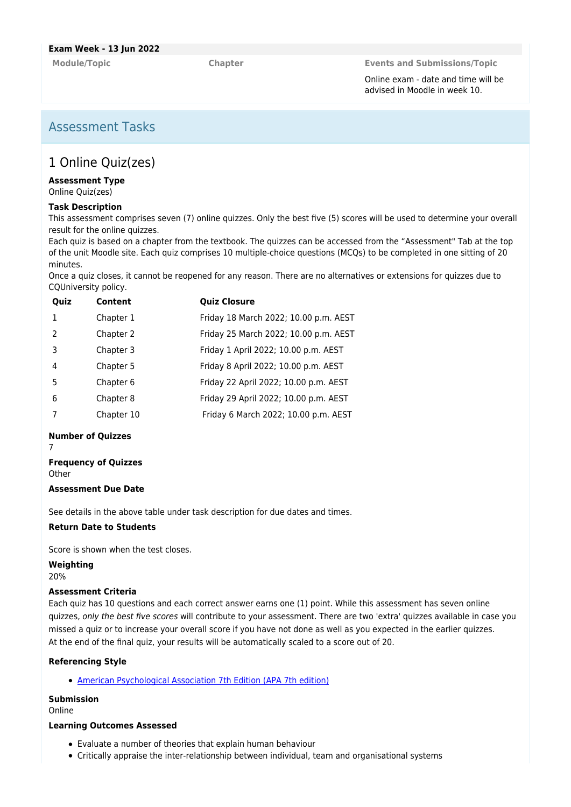**Module/Topic Chapter Events and Submissions/Topic**

Online exam - date and time will be advised in Moodle in week 10.

# Assessment Tasks

# 1 Online Quiz(zes)

#### **Assessment Type**

Online Quiz(zes)

#### **Task Description**

This assessment comprises seven (7) online quizzes. Only the best five (5) scores will be used to determine your overall result for the online quizzes.

Each quiz is based on a chapter from the textbook. The quizzes can be accessed from the "Assessment" Tab at the top of the unit Moodle site. Each quiz comprises 10 multiple-choice questions (MCQs) to be completed in one sitting of 20 minutes.

Once a quiz closes, it cannot be reopened for any reason. There are no alternatives or extensions for quizzes due to CQUniversity policy.

| Quiz          | Content    | <b>Quiz Closure</b>                   |
|---------------|------------|---------------------------------------|
| $\mathbf{1}$  | Chapter 1  | Friday 18 March 2022; 10.00 p.m. AEST |
| $\mathcal{P}$ | Chapter 2  | Friday 25 March 2022; 10.00 p.m. AEST |
| 3             | Chapter 3  | Friday 1 April 2022; 10.00 p.m. AEST  |
| 4             | Chapter 5  | Friday 8 April 2022; 10.00 p.m. AEST  |
| .5            | Chapter 6  | Friday 22 April 2022; 10.00 p.m. AEST |
| 6             | Chapter 8  | Friday 29 April 2022; 10.00 p.m. AEST |
|               | Chapter 10 | Friday 6 March 2022; 10.00 p.m. AEST  |
|               |            |                                       |

#### **Number of Quizzes**

7

## **Frequency of Quizzes**

**Other** 

#### **Assessment Due Date**

See details in the above table under task description for due dates and times.

### **Return Date to Students**

Score is shown when the test closes.

**Weighting**

20%

### **Assessment Criteria**

Each quiz has 10 questions and each correct answer earns one (1) point. While this assessment has seven online quizzes, only the best five scores will contribute to your assessment. There are two 'extra' quizzes available in case you missed a quiz or to increase your overall score if you have not done as well as you expected in the earlier quizzes. At the end of the final quiz, your results will be automatically scaled to a score out of 20.

### **Referencing Style**

[American Psychological Association 7th Edition \(APA 7th edition\)](https://delivery-cqucontenthub.stylelabs.cloud/api/public/content/apa-referencing-style.pdf?v=51e1aea7)

#### **Submission**

Online

### **Learning Outcomes Assessed**

- Evaluate a number of theories that explain human behaviour
- Critically appraise the inter-relationship between individual, team and organisational systems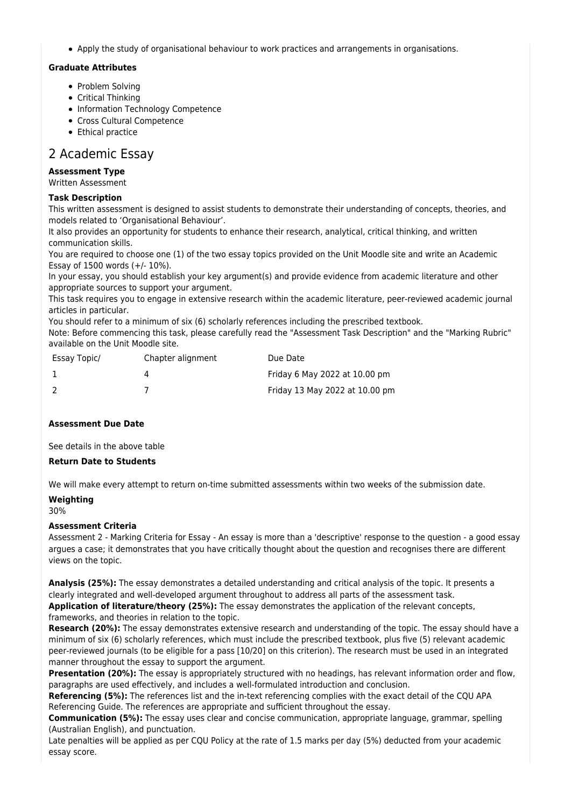Apply the study of organisational behaviour to work practices and arrangements in organisations.

#### **Graduate Attributes**

- Problem Solving
- Critical Thinking
- Information Technology Competence
- Cross Cultural Competence
- Ethical practice

## 2 Academic Essay

#### **Assessment Type**

Written Assessment

#### **Task Description**

This written assessment is designed to assist students to demonstrate their understanding of concepts, theories, and models related to 'Organisational Behaviour'.

It also provides an opportunity for students to enhance their research, analytical, critical thinking, and written communication skills.

You are required to choose one (1) of the two essay topics provided on the Unit Moodle site and write an Academic Essay of 1500 words (+/- 10%).

In your essay, you should establish your key argument(s) and provide evidence from academic literature and other appropriate sources to support your argument.

This task requires you to engage in extensive research within the academic literature, peer-reviewed academic journal articles in particular.

You should refer to a minimum of six (6) scholarly references including the prescribed textbook.

Note: Before commencing this task, please carefully read the "Assessment Task Description" and the "Marking Rubric" available on the Unit Moodle site.

| Essay Topic/ | Chapter alignment | Due Date                       |
|--------------|-------------------|--------------------------------|
|              |                   | Friday 6 May 2022 at 10.00 pm  |
|              |                   | Friday 13 May 2022 at 10.00 pm |

#### **Assessment Due Date**

See details in the above table

#### **Return Date to Students**

We will make every attempt to return on-time submitted assessments within two weeks of the submission date.

#### **Weighting**

30%

#### **Assessment Criteria**

Assessment 2 - Marking Criteria for Essay - An essay is more than a 'descriptive' response to the question - a good essay argues a case; it demonstrates that you have critically thought about the question and recognises there are different views on the topic.

**Analysis (25%):** The essay demonstrates a detailed understanding and critical analysis of the topic. It presents a clearly integrated and well‑developed argument throughout to address all parts of the assessment task. **Application of literature/theory (25%):** The essay demonstrates the application of the relevant concepts, frameworks, and theories in relation to the topic.

**Research (20%):** The essay demonstrates extensive research and understanding of the topic. The essay should have a minimum of six (6) scholarly references, which must include the prescribed textbook, plus five (5) relevant academic peer-reviewed journals (to be eligible for a pass [10/20] on this criterion). The research must be used in an integrated manner throughout the essay to support the argument.

**Presentation (20%):** The essay is appropriately structured with no headings, has relevant information order and flow, paragraphs are used effectively, and includes a well-formulated introduction and conclusion.

**Referencing (5%):** The references list and the in-text referencing complies with the exact detail of the CQU APA Referencing Guide. The references are appropriate and sufficient throughout the essay.

**Communication (5%):** The essay uses clear and concise communication, appropriate language, grammar, spelling (Australian English), and punctuation.

Late penalties will be applied as per CQU Policy at the rate of 1.5 marks per day (5%) deducted from your academic essay score.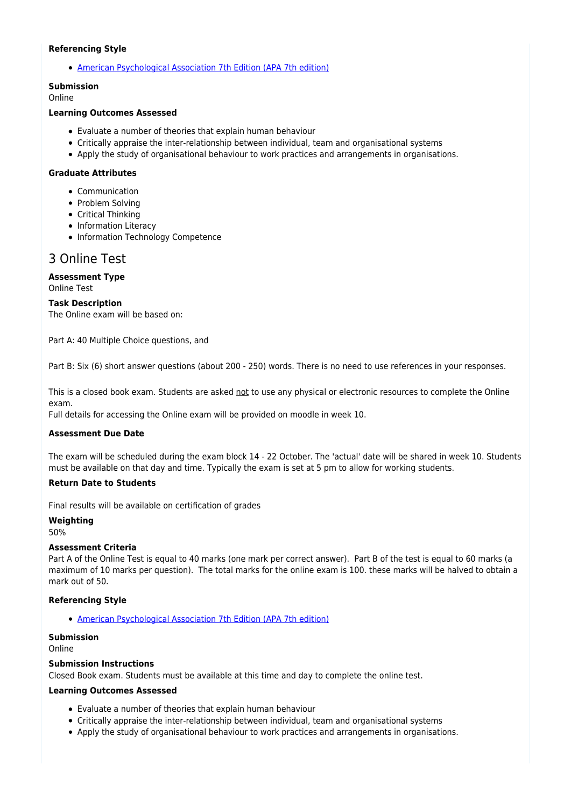#### **Referencing Style**

[American Psychological Association 7th Edition \(APA 7th edition\)](https://delivery-cqucontenthub.stylelabs.cloud/api/public/content/apa-referencing-style.pdf?v=51e1aea7)

#### **Submission**

Online

### **Learning Outcomes Assessed**

- Evaluate a number of theories that explain human behaviour
- Critically appraise the inter-relationship between individual, team and organisational systems
- Apply the study of organisational behaviour to work practices and arrangements in organisations.

#### **Graduate Attributes**

- Communication
- Problem Solving
- Critical Thinking
- Information Literacy
- Information Technology Competence

# 3 Online Test

### **Assessment Type**

Online Test

#### **Task Description**

The Online exam will be based on:

Part A: 40 Multiple Choice questions, and

Part B: Six (6) short answer questions (about 200 - 250) words. There is no need to use references in your responses.

This is a closed book exam. Students are asked not to use any physical or electronic resources to complete the Online exam.

Full details for accessing the Online exam will be provided on moodle in week 10.

#### **Assessment Due Date**

The exam will be scheduled during the exam block 14 - 22 October. The 'actual' date will be shared in week 10. Students must be available on that day and time. Typically the exam is set at 5 pm to allow for working students.

#### **Return Date to Students**

Final results will be available on certification of grades

**Weighting**

50%

#### **Assessment Criteria**

Part A of the Online Test is equal to 40 marks (one mark per correct answer). Part B of the test is equal to 60 marks (a maximum of 10 marks per question). The total marks for the online exam is 100. these marks will be halved to obtain a mark out of 50.

#### **Referencing Style**

[American Psychological Association 7th Edition \(APA 7th edition\)](https://delivery-cqucontenthub.stylelabs.cloud/api/public/content/apa-referencing-style.pdf?v=51e1aea7)

#### **Submission**

Online

#### **Submission Instructions**

Closed Book exam. Students must be available at this time and day to complete the online test.

#### **Learning Outcomes Assessed**

- Evaluate a number of theories that explain human behaviour
- Critically appraise the inter-relationship between individual, team and organisational systems
- Apply the study of organisational behaviour to work practices and arrangements in organisations.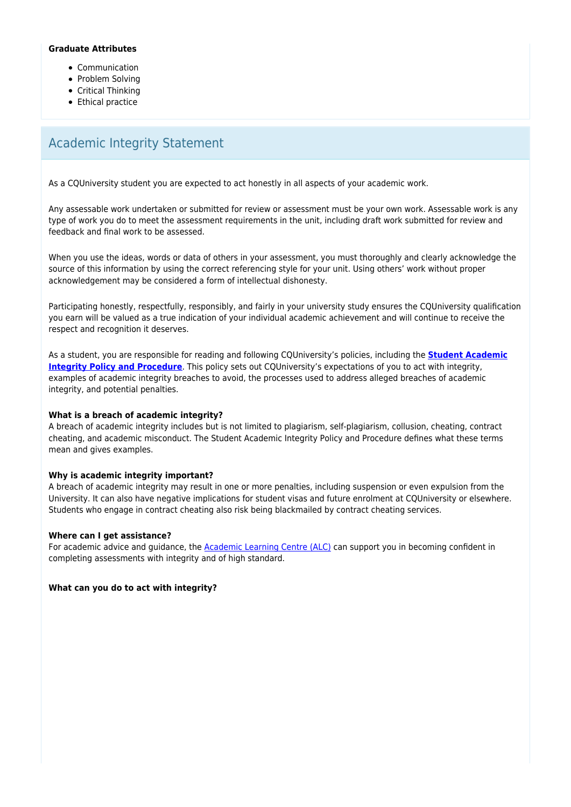### **Graduate Attributes**

- Communication
- Problem Solving
- Critical Thinking
- Ethical practice

# Academic Integrity Statement

As a CQUniversity student you are expected to act honestly in all aspects of your academic work.

Any assessable work undertaken or submitted for review or assessment must be your own work. Assessable work is any type of work you do to meet the assessment requirements in the unit, including draft work submitted for review and feedback and final work to be assessed.

When you use the ideas, words or data of others in your assessment, you must thoroughly and clearly acknowledge the source of this information by using the correct referencing style for your unit. Using others' work without proper acknowledgement may be considered a form of intellectual dishonesty.

Participating honestly, respectfully, responsibly, and fairly in your university study ensures the CQUniversity qualification you earn will be valued as a true indication of your individual academic achievement and will continue to receive the respect and recognition it deserves.

As a student, you are responsible for reading and following CQUniversity's policies, including the **[Student Academic](https://www.cqu.edu.au/policy/sharepoint-document-download?file_uri={BE8380F3-F86D-4C55-AC0D-84A81EAFD6A2}/Student%20Academic%20Integrity%20Policy%20and%20Procedure%20(formerly%20known%20as%20the%20Academic%20Misconduct%20Procedure).pdf) [Integrity Policy and Procedure](https://www.cqu.edu.au/policy/sharepoint-document-download?file_uri={BE8380F3-F86D-4C55-AC0D-84A81EAFD6A2}/Student%20Academic%20Integrity%20Policy%20and%20Procedure%20(formerly%20known%20as%20the%20Academic%20Misconduct%20Procedure).pdf)**. This policy sets out CQUniversity's expectations of you to act with integrity, examples of academic integrity breaches to avoid, the processes used to address alleged breaches of academic integrity, and potential penalties.

### **What is a breach of academic integrity?**

A breach of academic integrity includes but is not limited to plagiarism, self-plagiarism, collusion, cheating, contract cheating, and academic misconduct. The Student Academic Integrity Policy and Procedure defines what these terms mean and gives examples.

### **Why is academic integrity important?**

A breach of academic integrity may result in one or more penalties, including suspension or even expulsion from the University. It can also have negative implications for student visas and future enrolment at CQUniversity or elsewhere. Students who engage in contract cheating also risk being blackmailed by contract cheating services.

#### **Where can I get assistance?**

For academic advice and guidance, the [Academic Learning Centre \(ALC\)](https://www.cqu.edu.au/student-life/academic-learning-centre) can support you in becoming confident in completing assessments with integrity and of high standard.

**What can you do to act with integrity?**